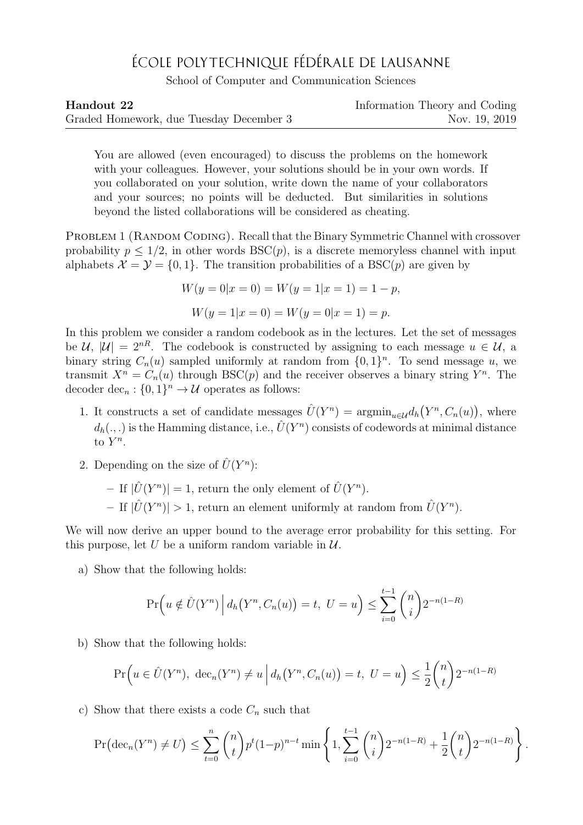## ÉCOLE POLYTECHNIQUE FÉDÉRALE DE LAUSANNE

School of Computer and Communication Sciences

| Handout 22                              | Information Theory and Coding |
|-----------------------------------------|-------------------------------|
| Graded Homework, due Tuesday December 3 | Nov. 19, 2019                 |

You are allowed (even encouraged) to discuss the problems on the homework with your colleagues. However, your solutions should be in your own words. If you collaborated on your solution, write down the name of your collaborators and your sources; no points will be deducted. But similarities in solutions beyond the listed collaborations will be considered as cheating.

PROBLEM 1 (RANDOM CODING). Recall that the Binary Symmetric Channel with crossover probability  $p \leq 1/2$ , in other words  $BSC(p)$ , is a discrete memoryless channel with input alphabets  $\mathcal{X} = \mathcal{Y} = \{0, 1\}$ . The transition probabilities of a BSC(p) are given by

$$
W(y = 0|x = 0) = W(y = 1|x = 1) = 1 - p,
$$
  

$$
W(y = 1|x = 0) = W(y = 0|x = 1) = p.
$$

In this problem we consider a random codebook as in the lectures. Let the set of messages be U,  $|U| = 2^{nR}$ . The codebook is constructed by assigning to each message  $u \in U$ , a binary string  $C_n(u)$  sampled uniformly at random from  $\{0,1\}^n$ . To send message u, we transmit  $X^n = C_n(u)$  through BSC(p) and the receiver observes a binary string  $Y^n$ . The decoder  $\text{dec}_n : \{0,1\}^n \to \mathcal{U}$  operates as follows:

- 1. It constructs a set of candidate messages  $\hat{U}(Y^n) = \operatorname{argmin}_{u \in \mathcal{U}} d_h(Y^n, C_n(u)),$  where  $d_h(.,.)$  is the Hamming distance, i.e.,  $\hat{U}(Y^n)$  consists of codewords at minimal distance to  $Y^n$ .
- 2. Depending on the size of  $\hat{U}(Y^n)$ :

- If  $|\hat{U}(Y^n)| = 1$ , return the only element of  $\hat{U}(Y^n)$ .

- If  $|\hat{U}(Y^n)| > 1$ , return an element uniformly at random from  $\hat{U}(Y^n)$ .

We will now derive an upper bound to the average error probability for this setting. For this purpose, let U be a uniform random variable in  $\mathcal{U}$ .

a) Show that the following holds:

$$
\Pr\left(u \notin \hat{U}(Y^n) \, \middle| \, d_h(Y^n, C_n(u)) = t, \ U = u\right) \le \sum_{i=0}^{t-1} \binom{n}{i} 2^{-n(1-R)}
$$

b) Show that the following holds:

$$
\Pr\Big(u \in \hat{U}(Y^n), \ \text{dec}_n(Y^n) \neq u \ \Big| \ d_h\big(Y^n, C_n(u)\big) = t, \ U = u \Big) \leq \frac{1}{2} {n \choose t} 2^{-n(1-R)}
$$

c) Show that there exists a code  $C_n$  such that

$$
\Pr\left(\operatorname{dec}_n(Y^n) \neq U\right) \le \sum_{t=0}^n \binom{n}{t} p^t (1-p)^{n-t} \min\left\{1, \sum_{i=0}^{t-1} \binom{n}{i} 2^{-n(1-R)} + \frac{1}{2} \binom{n}{t} 2^{-n(1-R)}\right\}.
$$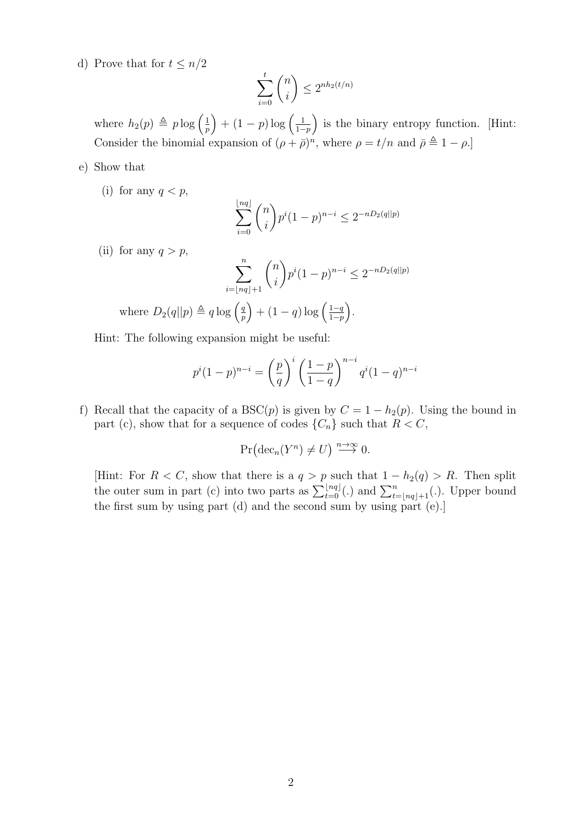d) Prove that for  $t \leq n/2$ 

$$
\sum_{i=0}^{t} \binom{n}{i} \le 2^{nh_2(t/n)}
$$

where  $h_2(p) \triangleq p \log \left( \frac{1}{n} \right)$  $\left(\frac{1}{p}\right) + (1-p)\log\left(\frac{1}{1-p}\right)$  $\frac{1}{1-p}$  is the binary entropy function. [Hint: Consider the binomial expansion of  $(\rho + \bar{\rho})^n$ , where  $\rho = t/n$  and  $\bar{\rho} \triangleq 1 - \rho$ .

- e) Show that
	- (i) for any  $q < p$ ,

$$
\sum_{i=0}^{\lfloor nq \rfloor} \binom{n}{i} p^i (1-p)^{n-i} \le 2^{-nD_2(q||p)}
$$

(ii) for any  $q > p$ ,

$$
\sum_{i=\lfloor nq \rfloor + 1}^{n} \binom{n}{i} p^i (1-p)^{n-i} \le 2^{-nD_2(q||p)}
$$

where 
$$
D_2(q||p) \triangleq q \log \left(\frac{q}{p}\right) + (1-q) \log \left(\frac{1-q}{1-p}\right)
$$
.

Hint: The following expansion might be useful:

$$
p^{i}(1-p)^{n-i} = \left(\frac{p}{q}\right)^{i} \left(\frac{1-p}{1-q}\right)^{n-i} q^{i}(1-q)^{n-i}
$$

f) Recall that the capacity of a BSC(p) is given by  $C = 1 - h_2(p)$ . Using the bound in part (c), show that for a sequence of codes  $\{C_n\}$  such that  $R < C$ ,

$$
\Pr\bigl(\mathrm{dec}_n(Y^n)\neq U\bigr)\stackrel{n\to\infty}\longrightarrow 0.
$$

[Hint: For  $R < C$ , show that there is a  $q > p$  such that  $1 - h_2(q) > R$ . Then split the outer sum in part (c) into two parts as  $\sum_{t=0}^{\lfloor nq \rfloor}$  (.) and  $\sum_{t=\lfloor nq \rfloor+1}^{n}$  (.). Upper bound the first sum by using part (d) and the second sum by using part (e).]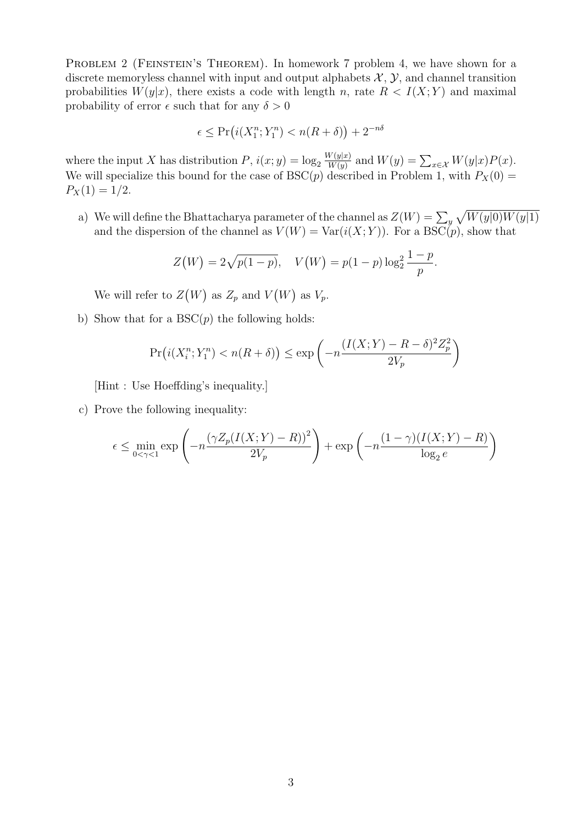PROBLEM 2 (FEINSTEIN'S THEOREM). In homework 7 problem 4, we have shown for a discrete memoryless channel with input and output alphabets  $\mathcal{X}, \mathcal{Y},$  and channel transition probabilities  $W(y|x)$ , there exists a code with length n, rate  $R < I(X;Y)$  and maximal probability of error  $\epsilon$  such that for any  $\delta > 0$ 

$$
\epsilon \le \Pr\big(i(X_1^n; Y_1^n) < n(R+\delta)\big) + 2^{-n\delta}
$$

where the input X has distribution  $P$ ,  $i(x; y) = \log_2 \frac{W(y|x)}{W(y)}$  $\frac{W(y|x)}{W(y)}$  and  $W(y) = \sum_{x \in \mathcal{X}} W(y|x)P(x)$ . We will specialize this bound for the case of BSC(p) described in Problem 1, with  $P_X(0)$  =  $P_X(1) = 1/2.$ 

a) We will define the Bhattacharya parameter of the channel as  $Z(W) = \sum_{y} \sqrt{W(y|0)W(y|1)}$ and the dispersion of the channel as  $V(W) = Var(i(X; Y))$ . For a BSC(p), show that

$$
Z(W) = 2\sqrt{p(1-p)}, \quad V(W) = p(1-p)\log_2^2 \frac{1-p}{p}.
$$

We will refer to  $Z(W)$  as  $Z_p$  and  $V(W)$  as  $V_p$ .

b) Show that for a  $BSC(p)$  the following holds:

$$
\Pr\left(i(X_i^n; Y_1^n) < n(R+\delta)\right) \le \exp\left(-n\frac{(I(X; Y) - R - \delta)^2 Z_p^2}{2V_p}\right)
$$

[Hint : Use Hoeffding's inequality.]

c) Prove the following inequality:

$$
\epsilon \le \min_{0 < \gamma < 1} \exp\left(-n\frac{\left(\gamma Z_p(I(X;Y) - R)\right)^2}{2V_p}\right) + \exp\left(-n\frac{(1-\gamma)(I(X;Y) - R)}{\log_2 e}\right)
$$